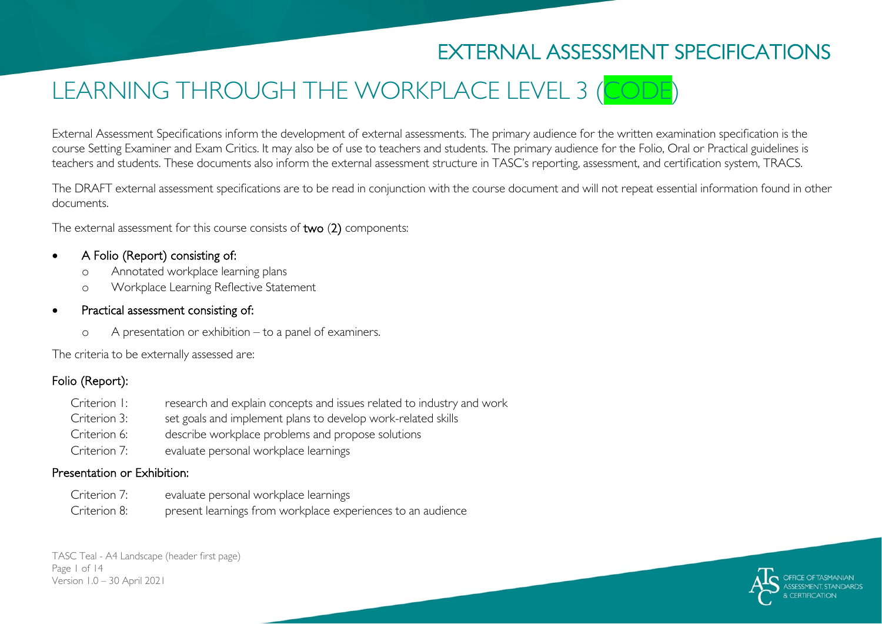# EXTERNAL ASSESSMENT SPECIFICATIONS

# LEARNING THROUGH THE WORKPLACE LEVEL 3 (CODE

External Assessment Specifications inform the development of external assessments. The primary audience for the written examination specification is the course Setting Examiner and Exam Critics. It may also be of use to teachers and students. The primary audience for the Folio, Oral or Practical guidelines is teachers and students. These documents also inform the external assessment structure in TASC's reporting, assessment, and certification system, TRACS.

The DRAFT external assessment specifications are to be read in conjunction with the course document and will not repeat essential information found in other documents.

The external assessment for this course consists of two (2) components:

#### • A Folio (Report) consisting of:

- o Annotated workplace learning plans
- o Workplace Learning Reflective Statement
- Practical assessment consisting of:
	- o A presentation or exhibition to a panel of examiners.

The criteria to be externally assessed are:

### Folio (Report):

Criterion 1: research and explain concepts and issues related to industry and work Criterion 3: set goals and implement plans to develop work-related skills Criterion 6: describe workplace problems and propose solutions Criterion 7: evaluate personal workplace learnings

#### Presentation or Exhibition:

Criterion 7: evaluate personal workplace learnings Criterion 8: present learnings from workplace experiences to an audience

TASC Teal - A4 Landscape (header first page) Page 1 of 14 Version 1.0 – 30 April 2021

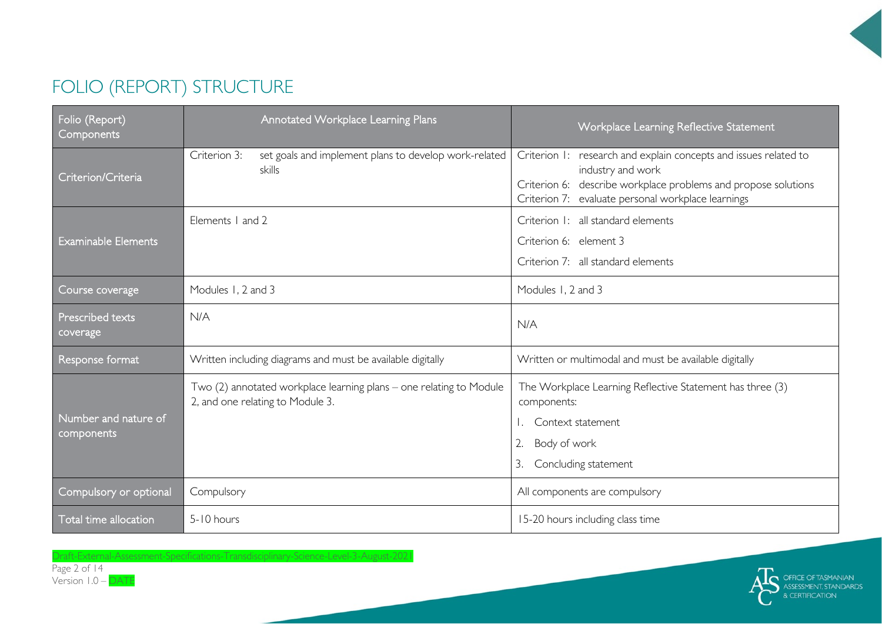# FOLIO (REPORT) STRUCTURE

| Folio (Report)<br>Components       | <b>Annotated Workplace Learning Plans</b>                                                               | Workplace Learning Reflective Statement                                                                                                                                                                       |  |  |
|------------------------------------|---------------------------------------------------------------------------------------------------------|---------------------------------------------------------------------------------------------------------------------------------------------------------------------------------------------------------------|--|--|
| Criterion/Criteria                 | set goals and implement plans to develop work-related<br>Criterion 3:<br><b>skills</b>                  | Criterion 1: research and explain concepts and issues related to<br>industry and work<br>Criterion 6: describe workplace problems and propose solutions<br>Criterion 7: evaluate personal workplace learnings |  |  |
| <b>Examinable Elements</b>         | Elements 1 and 2                                                                                        | Criterion I: all standard elements<br>Criterion 6: element 3<br>Criterion 7: all standard elements                                                                                                            |  |  |
| Course coverage                    | Modules 1, 2 and 3                                                                                      | Modules 1, 2 and 3                                                                                                                                                                                            |  |  |
| Prescribed texts<br>coverage       | N/A                                                                                                     | N/A                                                                                                                                                                                                           |  |  |
| Response format                    | Written including diagrams and must be available digitally                                              | Written or multimodal and must be available digitally                                                                                                                                                         |  |  |
| Number and nature of<br>components | Two (2) annotated workplace learning plans - one relating to Module<br>2, and one relating to Module 3. | The Workplace Learning Reflective Statement has three (3)<br>components:<br>Context statement<br>2.<br>Body of work<br>Concluding statement<br>3.                                                             |  |  |
| Compulsory or optional             | Compulsory                                                                                              | All components are compulsory                                                                                                                                                                                 |  |  |
| Total time allocation              | 5-10 hours                                                                                              | 15-20 hours including class time                                                                                                                                                                              |  |  |

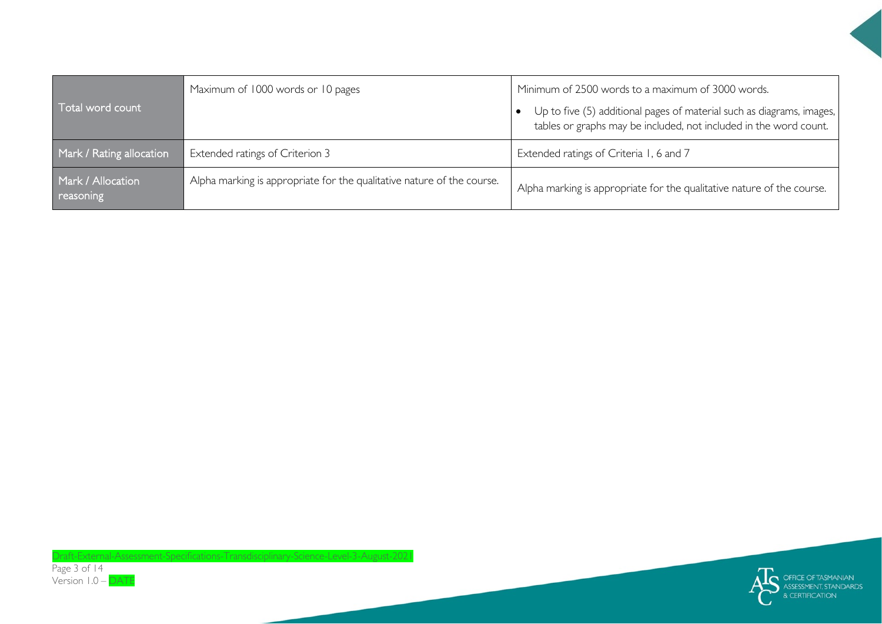| Total word count               | Maximum of 1000 words or 10 pages                                      | Minimum of 2500 words to a maximum of 3000 words.<br>Up to five (5) additional pages of material such as diagrams, images,<br>tables or graphs may be included, not included in the word count. |
|--------------------------------|------------------------------------------------------------------------|-------------------------------------------------------------------------------------------------------------------------------------------------------------------------------------------------|
| Mark / Rating allocation       | Extended ratings of Criterion 3                                        | Extended ratings of Criteria 1, 6 and 7                                                                                                                                                         |
| Mark / Allocation<br>reasoning | Alpha marking is appropriate for the qualitative nature of the course. | Alpha marking is appropriate for the qualitative nature of the course.                                                                                                                          |

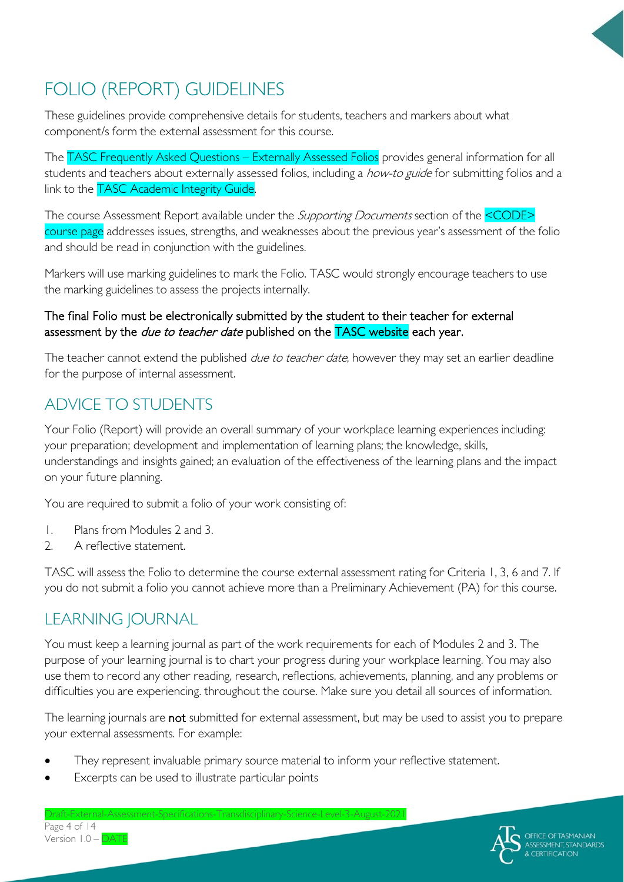

# FOLIO (REPORT) GUIDELINES

These guidelines provide comprehensive details for students, teachers and markers about what component/s form the external assessment for this course.

The TASC Frequently Asked Questions – Externally Assessed Folios provides general information for all students and teachers about externally assessed folios, including a how-to guide for submitting folios and a link to the **TASC Academic Integrity Guide.** 

The course Assessment Report available under the *Supporting Documents* section of the <CODE> course page addresses issues, strengths, and weaknesses about the previous year's assessment of the folio and should be read in conjunction with the guidelines.

Markers will use marking guidelines to mark the Folio. TASC would strongly encourage teachers to use the marking guidelines to assess the projects internally.

#### The final Folio must be electronically submitted by the student to their teacher for external assessment by the *due to teacher date* published on the **TASC website** each year.

The teacher cannot extend the published *due to teacher date*, however they may set an earlier deadline for the purpose of internal assessment.

### ADVICE TO STUDENTS

Your Folio (Report) will provide an overall summary of your workplace learning experiences including: your preparation; development and implementation of learning plans; the knowledge, skills, understandings and insights gained; an evaluation of the effectiveness of the learning plans and the impact on your future planning.

You are required to submit a folio of your work consisting of:

- 1. Plans from Modules 2 and 3.
- 2. A reflective statement.

TASC will assess the Folio to determine the course external assessment rating for Criteria 1, 3, 6 and 7. If you do not submit a folio you cannot achieve more than a Preliminary Achievement (PA) for this course.

### LEARNING JOURNAL

You must keep a learning journal as part of the work requirements for each of Modules 2 and 3. The purpose of your learning journal is to chart your progress during your workplace learning. You may also use them to record any other reading, research, reflections, achievements, planning, and any problems or difficulties you are experiencing. throughout the course. Make sure you detail all sources of information.

The learning journals are not submitted for external assessment, but may be used to assist you to prepare your external assessments. For example:

- They represent invaluable primary source material to inform your reflective statement.
- Excerpts can be used to illustrate particular points

Page 4 of 14 Version 1.0 – DATE

 $Draff-Fxternal-As$ 

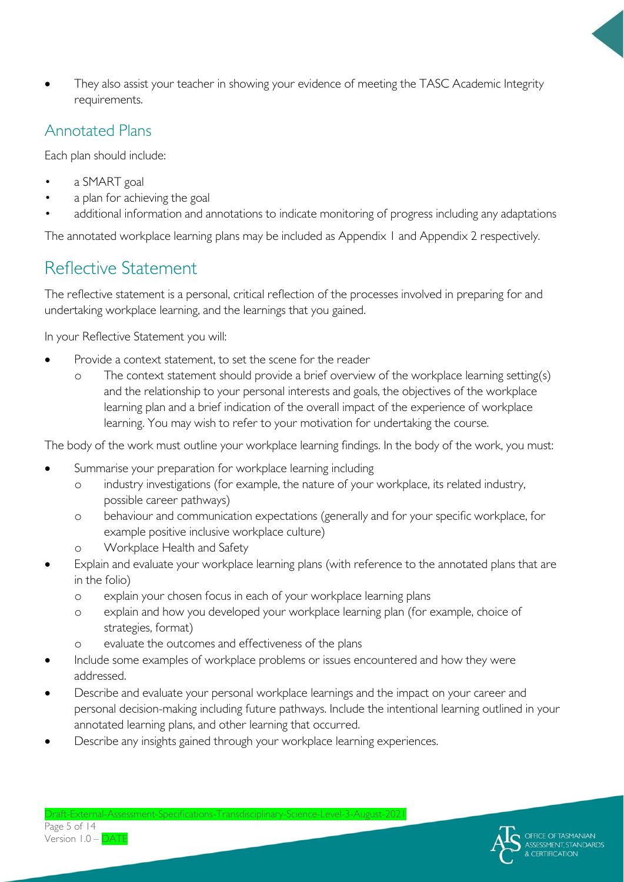They also assist your teacher in showing your evidence of meeting the TASC Academic Integrity requirements.

### Annotated Plans

Each plan should include:

- a SMART goal
- a plan for achieving the goal
- additional information and annotations to indicate monitoring of progress including any adaptations

The annotated workplace learning plans may be included as Appendix 1 and Appendix 2 respectively.

### Reflective Statement

The reflective statement is a personal, critical reflection of the processes involved in preparing for and undertaking workplace learning, and the learnings that you gained.

In your Reflective Statement you will:

- Provide a context statement, to set the scene for the reader
	- o The context statement should provide a brief overview of the workplace learning setting(s) and the relationship to your personal interests and goals, the objectives of the workplace learning plan and a brief indication of the overall impact of the experience of workplace learning. You may wish to refer to your motivation for undertaking the course.

The body of the work must outline your workplace learning findings. In the body of the work, you must:

- Summarise your preparation for workplace learning including
	- o industry investigations (for example, the nature of your workplace, its related industry, possible career pathways)
	- o behaviour and communication expectations (generally and for your specific workplace, for example positive inclusive workplace culture)
	- o Workplace Health and Safety
- Explain and evaluate your workplace learning plans (with reference to the annotated plans that are in the folio)
	- o explain your chosen focus in each of your workplace learning plans
	- o explain and how you developed your workplace learning plan (for example, choice of strategies, format)
	- o evaluate the outcomes and effectiveness of the plans
- Include some examples of workplace problems or issues encountered and how they were addressed.
- Describe and evaluate your personal workplace learnings and the impact on your career and personal decision-making including future pathways. Include the intentional learning outlined in your annotated learning plans, and other learning that occurred.
- Describe any insights gained through your workplace learning experiences.

Draft-External-Assessment-Specifications-Transdisciplinary-Science-Level-3-August-2021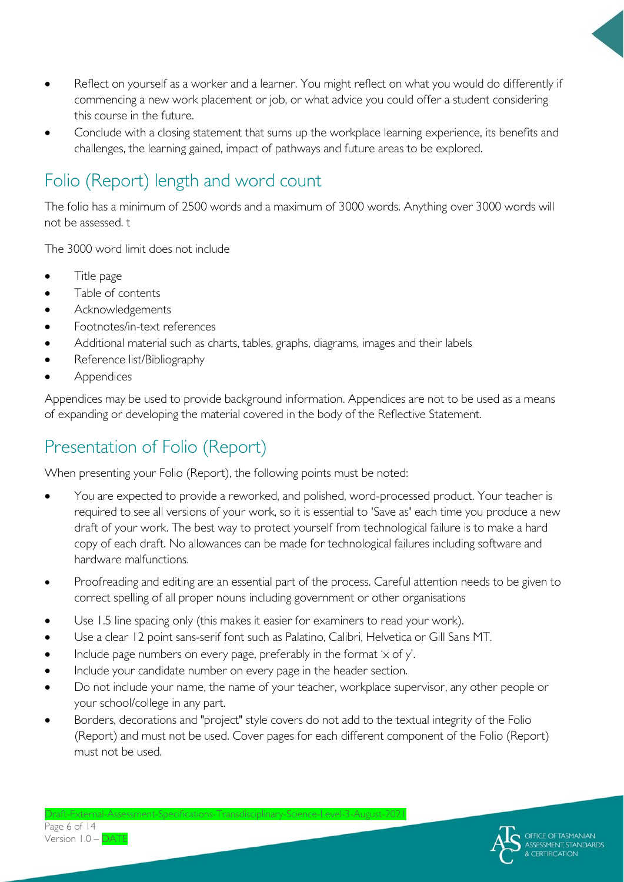- Reflect on yourself as a worker and a learner. You might reflect on what you would do differently if commencing a new work placement or job, or what advice you could offer a student considering this course in the future.
- Conclude with a closing statement that sums up the workplace learning experience, its benefits and challenges, the learning gained, impact of pathways and future areas to be explored.

# Folio (Report) length and word count

The folio has a minimum of 2500 words and a maximum of 3000 words. Anything over 3000 words will not be assessed. t

The 3000 word limit does not include

- Title page
- Table of contents
- Acknowledgements
- Footnotes/in-text references
- Additional material such as charts, tables, graphs, diagrams, images and their labels
- Reference list/Bibliography
- **Appendices**

Appendices may be used to provide background information. Appendices are not to be used as a means of expanding or developing the material covered in the body of the Reflective Statement.

# Presentation of Folio (Report)

When presenting your Folio (Report), the following points must be noted:

- You are expected to provide a reworked, and polished, word-processed product. Your teacher is required to see all versions of your work, so it is essential to 'Save as' each time you produce a new draft of your work. The best way to protect yourself from technological failure is to make a hard copy of each draft. No allowances can be made for technological failures including software and hardware malfunctions.
- Proofreading and editing are an essential part of the process. Careful attention needs to be given to correct spelling of all proper nouns including government or other organisations
- Use 1.5 line spacing only (this makes it easier for examiners to read your work).
- Use a clear 12 point sans-serif font such as Palatino, Calibri, Helvetica or Gill Sans MT.
- Include page numbers on every page, preferably in the format 'x of y'.
- Include your candidate number on every page in the header section.
- Do not include your name, the name of your teacher, workplace supervisor, any other people or your school/college in any part.
- Borders, decorations and "project" style covers do not add to the textual integrity of the Folio (Report) and must not be used. Cover pages for each different component of the Folio (Report) must not be used.



 $Draff-Fxternal-A$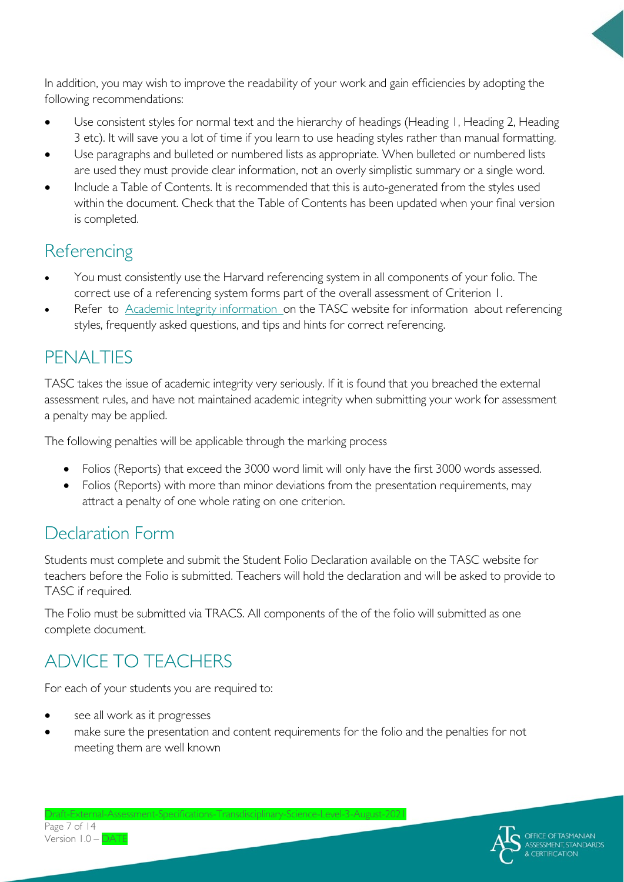In addition, you may wish to improve the readability of your work and gain efficiencies by adopting the following recommendations:

- Use consistent styles for normal text and the hierarchy of headings (Heading 1, Heading 2, Heading 3 etc). It will save you a lot of time if you learn to use heading styles rather than manual formatting.
- Use paragraphs and bulleted or numbered lists as appropriate. When bulleted or numbered lists are used they must provide clear information, not an overly simplistic summary or a single word.
- Include a Table of Contents. It is recommended that this is auto-generated from the styles used within the document. Check that the Table of Contents has been updated when your final version is completed.

### **Referencing**

- You must consistently use the Harvard referencing system in all components of your folio. The correct use of a referencing system forms part of the overall assessment of Criterion 1.
- Refer to **Academic Integrity information** on the TASC website for information about referencing styles, frequently asked questions, and tips and hints for correct referencing.

# PENALTIES

TASC takes the issue of academic integrity very seriously. If it is found that you breached the external assessment rules, and have not maintained academic integrity when submitting your work for assessment a penalty may be applied.

The following penalties will be applicable through the marking process

- Folios (Reports) that exceed the 3000 word limit will only have the first 3000 words assessed.
- Folios (Reports) with more than minor deviations from the presentation requirements, may attract a penalty of one whole rating on one criterion.

# Declaration Form

Students must complete and submit the Student Folio Declaration available on the TASC website for teachers before the Folio is submitted. Teachers will hold the declaration and will be asked to provide to TASC if required.

The Folio must be submitted via TRACS. All components of the of the folio will submitted as one complete document.

# ADVICE TO TEACHERS

For each of your students you are required to:

- see all work as it progresses
- make sure the presentation and content requirements for the folio and the penalties for not meeting them are well known

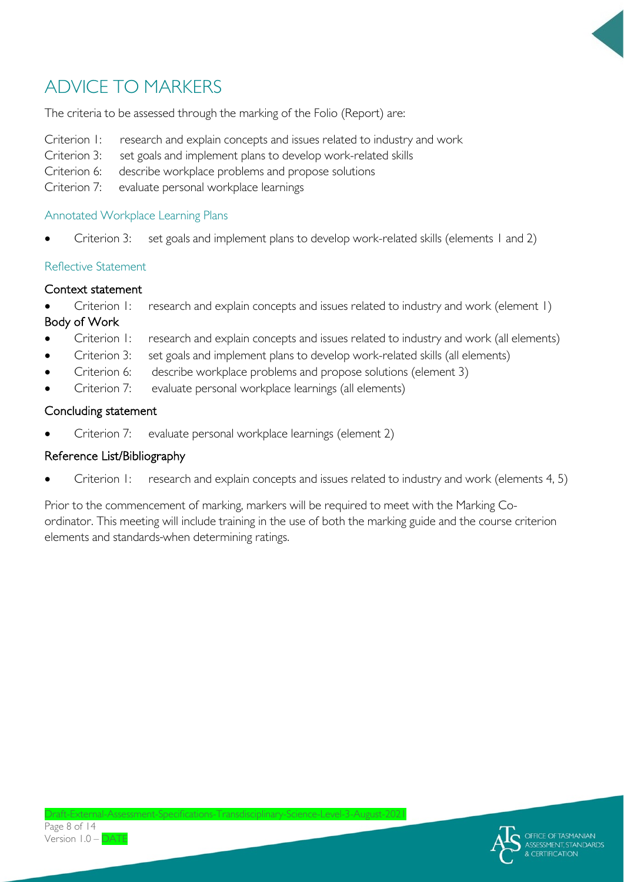

# ADVICE TO MARKERS

The criteria to be assessed through the marking of the Folio (Report) are:

- Criterion 1: research and explain concepts and issues related to industry and work
- Criterion 3: set goals and implement plans to develop work-related skills
- Criterion 6: describe workplace problems and propose solutions
- Criterion 7: evaluate personal workplace learnings

#### Annotated Workplace Learning Plans

Criterion 3: set goals and implement plans to develop work-related skills (elements 1 and 2)

#### Reflective Statement

#### Context statement

- Criterion 1: research and explain concepts and issues related to industry and work (element 1) Body of Work
- Criterion 1: research and explain concepts and issues related to industry and work (all elements)
- Criterion 3: set goals and implement plans to develop work-related skills (all elements)
- Criterion 6: describe workplace problems and propose solutions (element 3)
- Criterion 7: evaluate personal workplace learnings (all elements)

#### Concluding statement

• Criterion 7: evaluate personal workplace learnings (element 2)

### Reference List/Bibliography

Criterion 1: research and explain concepts and issues related to industry and work (elements 4, 5)

Prior to the commencement of marking, markers will be required to meet with the Marking Coordinator. This meeting will include training in the use of both the marking guide and the course criterion elements and standards when determining ratings.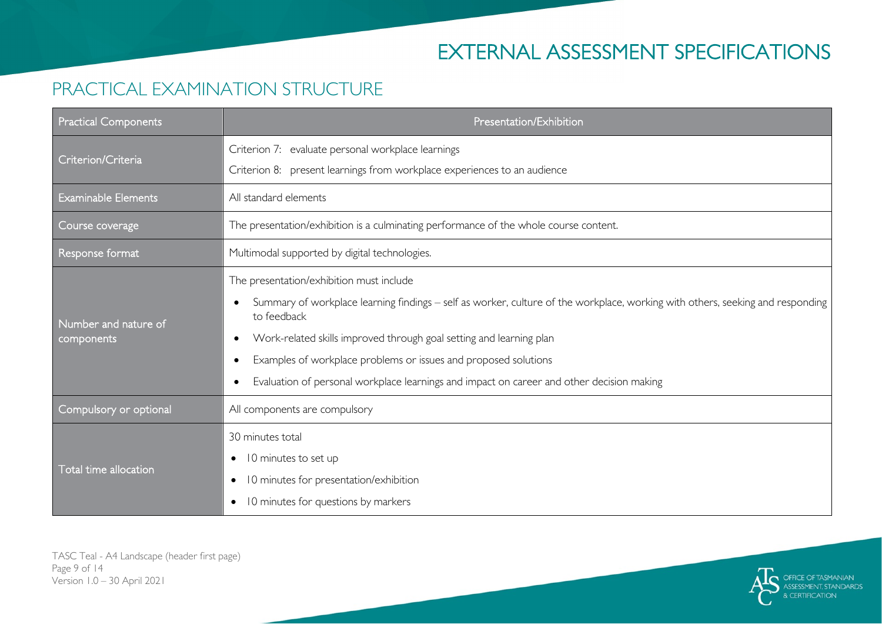# EXTERNAL ASSESSMENT SPECIFICATIONS

### PRACTICAL EXAMINATION STRUCTURE

| <b>Practical Components</b> | Presentation/Exhibition                                                                                                                       |  |
|-----------------------------|-----------------------------------------------------------------------------------------------------------------------------------------------|--|
| Criterion/Criteria          | Criterion 7: evaluate personal workplace learnings                                                                                            |  |
|                             | Criterion 8: present learnings from workplace experiences to an audience                                                                      |  |
| <b>Examinable Elements</b>  | All standard elements                                                                                                                         |  |
| Course coverage             | The presentation/exhibition is a culminating performance of the whole course content.                                                         |  |
| Response format             | Multimodal supported by digital technologies.                                                                                                 |  |
|                             | The presentation/exhibition must include                                                                                                      |  |
| Number and nature of        | Summary of workplace learning findings - self as worker, culture of the workplace, working with others, seeking and responding<br>to feedback |  |
| components                  | Work-related skills improved through goal setting and learning plan                                                                           |  |
|                             | Examples of workplace problems or issues and proposed solutions                                                                               |  |
|                             | Evaluation of personal workplace learnings and impact on career and other decision making                                                     |  |
| Compulsory or optional      | All components are compulsory                                                                                                                 |  |
|                             | 30 minutes total                                                                                                                              |  |
| Total time allocation       | 10 minutes to set up<br>$\bullet$                                                                                                             |  |
|                             | 10 minutes for presentation/exhibition<br>$\bullet$                                                                                           |  |
|                             | 10 minutes for questions by markers<br>$\bullet$                                                                                              |  |

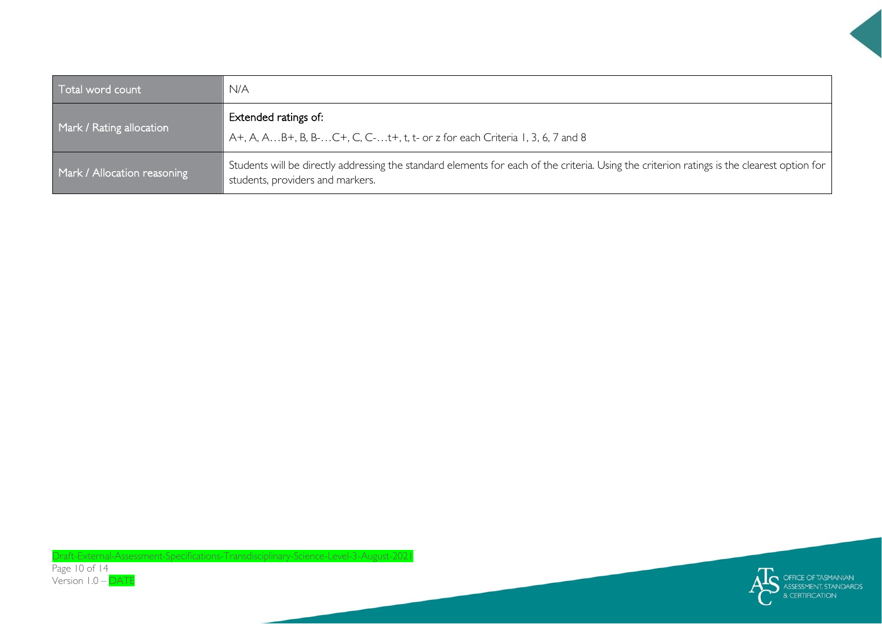| Total word count            | N/A                                                                                                                                                                             |  |
|-----------------------------|---------------------------------------------------------------------------------------------------------------------------------------------------------------------------------|--|
|                             | Extended ratings of:                                                                                                                                                            |  |
| Mark / Rating allocation    | A+, A, AB+, B, B-C+, C, C-t+, t, t- or z for each Criteria 1, 3, 6, 7 and 8                                                                                                     |  |
| Mark / Allocation reasoning | Students will be directly addressing the standard elements for each of the criteria. Using the criterion ratings is the clearest option for<br>students, providers and markers. |  |



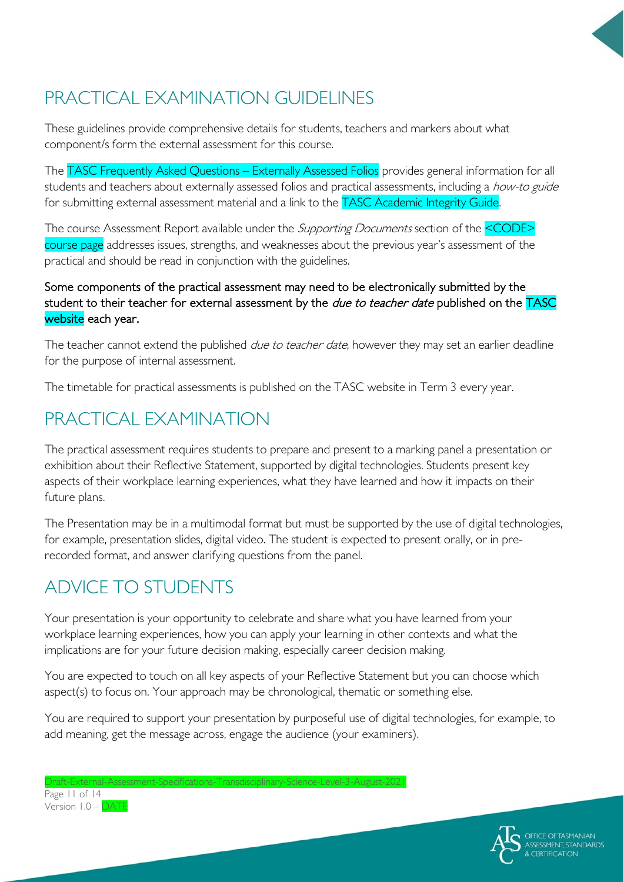# PRACTICAL EXAMINATION GUIDELINES

These guidelines provide comprehensive details for students, teachers and markers about what component/s form the external assessment for this course.

The TASC Frequently Asked Questions – Externally Assessed Folios provides general information for all students and teachers about externally assessed folios and practical assessments, including a how-to guide for submitting external assessment material and a link to the TASC Academic Integrity Guide.

The course Assessment Report available under the *Supporting Documents* section of the <CODE> course page addresses issues, strengths, and weaknesses about the previous year's assessment of the practical and should be read in conjunction with the guidelines.

#### Some components of the practical assessment may need to be electronically submitted by the student to their teacher for external assessment by the *due to teacher date* published on the TASC website each year.

The teacher cannot extend the published *due to teacher date*, however they may set an earlier deadline for the purpose of internal assessment.

The timetable for practical assessments is published on the TASC website in Term 3 every year.

### PRACTICAL EXAMINATION

The practical assessment requires students to prepare and present to a marking panel a presentation or exhibition about their Reflective Statement, supported by digital technologies. Students present key aspects of their workplace learning experiences, what they have learned and how it impacts on their future plans.

The Presentation may be in a multimodal format but must be supported by the use of digital technologies, for example, presentation slides, digital video. The student is expected to present orally, or in prerecorded format, and answer clarifying questions from the panel.

# ADVICE TO STUDENTS

Your presentation is your opportunity to celebrate and share what you have learned from your workplace learning experiences, how you can apply your learning in other contexts and what the implications are for your future decision making, especially career decision making.

You are expected to touch on all key aspects of your Reflective Statement but you can choose which aspect(s) to focus on. Your approach may be chronological, thematic or something else.

You are required to support your presentation by purposeful use of digital technologies, for example, to add meaning, get the message across, engage the audience (your examiners).

Draft-External-Assessment-Specifications-Transdisciplinary-Science-Level-3-August-2021 Page 11 of 14 Version 1.0 – DATE

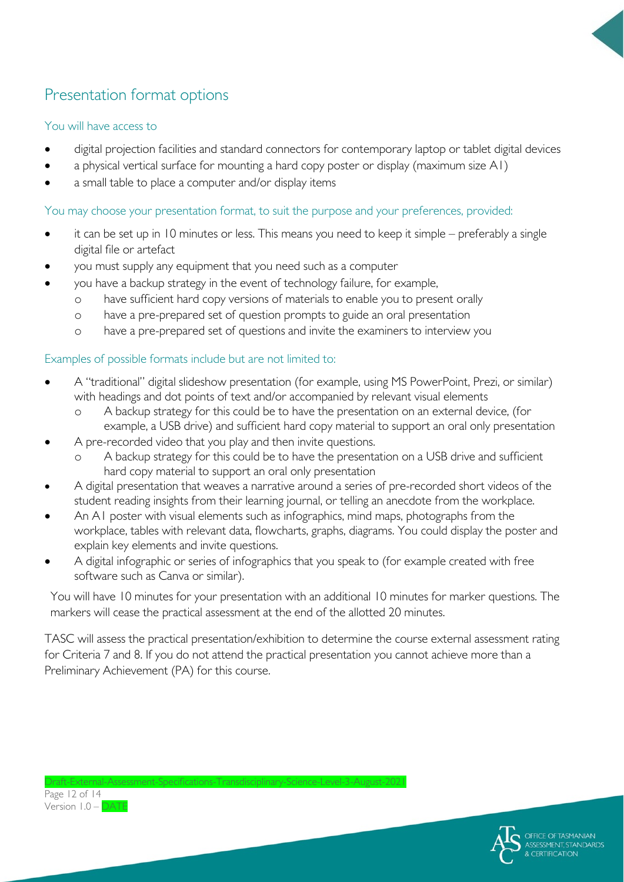

### Presentation format options

#### You will have access to

- digital projection facilities and standard connectors for contemporary laptop or tablet digital devices
- a physical vertical surface for mounting a hard copy poster or display (maximum size A1)
- a small table to place a computer and/or display items

#### You may choose your presentation format, to suit the purpose and your preferences, provided:

- it can be set up in 10 minutes or less. This means you need to keep it simple preferably a single digital file or artefact
- you must supply any equipment that you need such as a computer
- you have a backup strategy in the event of technology failure, for example,
	- o have sufficient hard copy versions of materials to enable you to present orally
	- o have a pre-prepared set of question prompts to guide an oral presentation
	- o have a pre-prepared set of questions and invite the examiners to interview you

#### Examples of possible formats include but are not limited to:

- A "traditional" digital slideshow presentation (for example, using MS PowerPoint, Prezi, or similar) with headings and dot points of text and/or accompanied by relevant visual elements
	- o A backup strategy for this could be to have the presentation on an external device, (for example, a USB drive) and sufficient hard copy material to support an oral only presentation
- A pre-recorded video that you play and then invite questions.
	- A backup strategy for this could be to have the presentation on a USB drive and sufficient hard copy material to support an oral only presentation
- A digital presentation that weaves a narrative around a series of pre-recorded short videos of the student reading insights from their learning journal, or telling an anecdote from the workplace.
- An A1 poster with visual elements such as infographics, mind maps, photographs from the workplace, tables with relevant data, flowcharts, graphs, diagrams. You could display the poster and explain key elements and invite questions.
- A digital infographic or series of infographics that you speak to (for example created with free software such as Canva or similar).

You will have 10 minutes for your presentation with an additional 10 minutes for marker questions. The markers will cease the practical assessment at the end of the allotted 20 minutes.

TASC will assess the practical presentation/exhibition to determine the course external assessment rating for Criteria 7 and 8. If you do not attend the practical presentation you cannot achieve more than a Preliminary Achievement (PA) for this course.

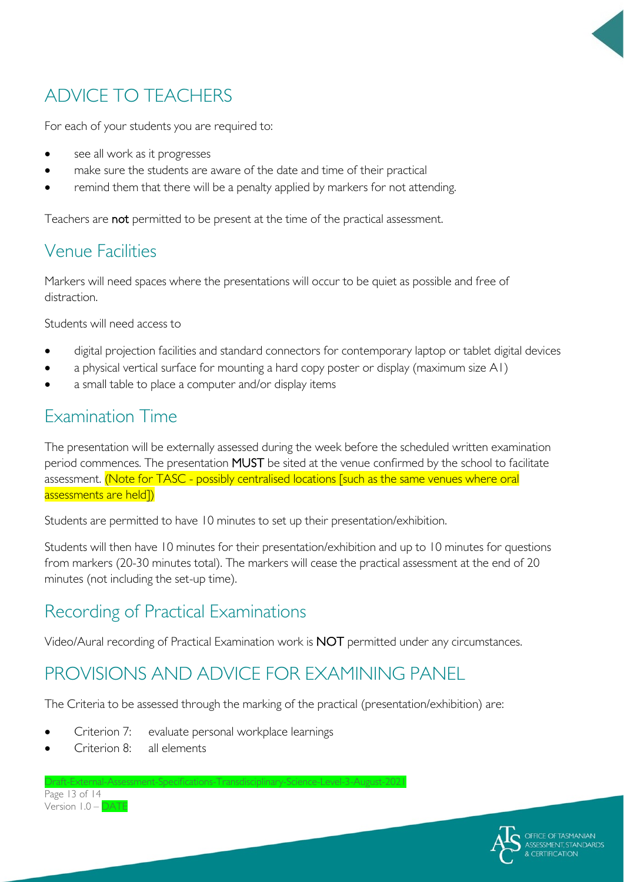

# ADVICE TO TEACHERS

For each of your students you are required to:

- see all work as it progresses
- make sure the students are aware of the date and time of their practical
- remind them that there will be a penalty applied by markers for not attending.

Teachers are not permitted to be present at the time of the practical assessment.

### Venue Facilities

Markers will need spaces where the presentations will occur to be quiet as possible and free of distraction.

Students will need access to

- digital projection facilities and standard connectors for contemporary laptop or tablet digital devices
- a physical vertical surface for mounting a hard copy poster or display (maximum size A1)
- a small table to place a computer and/or display items

### Examination Time

The presentation will be externally assessed during the week before the scheduled written examination period commences. The presentation MUST be sited at the venue confirmed by the school to facilitate assessment. (Note for TASC - possibly centralised locations [such as the same venues where oral assessments are held])

Students are permitted to have 10 minutes to set up their presentation/exhibition.

Students will then have 10 minutes for their presentation/exhibition and up to 10 minutes for questions from markers (20-30 minutes total). The markers will cease the practical assessment at the end of 20 minutes (not including the set-up time).

### Recording of Practical Examinations

Video/Aural recording of Practical Examination work is NOT permitted under any circumstances.

### PROVISIONS AND ADVICE FOR EXAMINING PANEL

The Criteria to be assessed through the marking of the practical (presentation/exhibition) are:

- Criterion 7: evaluate personal workplace learnings
- Criterion 8: all elements

Draft-External-Assessment-Specifications-Transdisciplinary-Science-Level-3-August-2021 Page 13 of 14 Version 1.0 – DATE